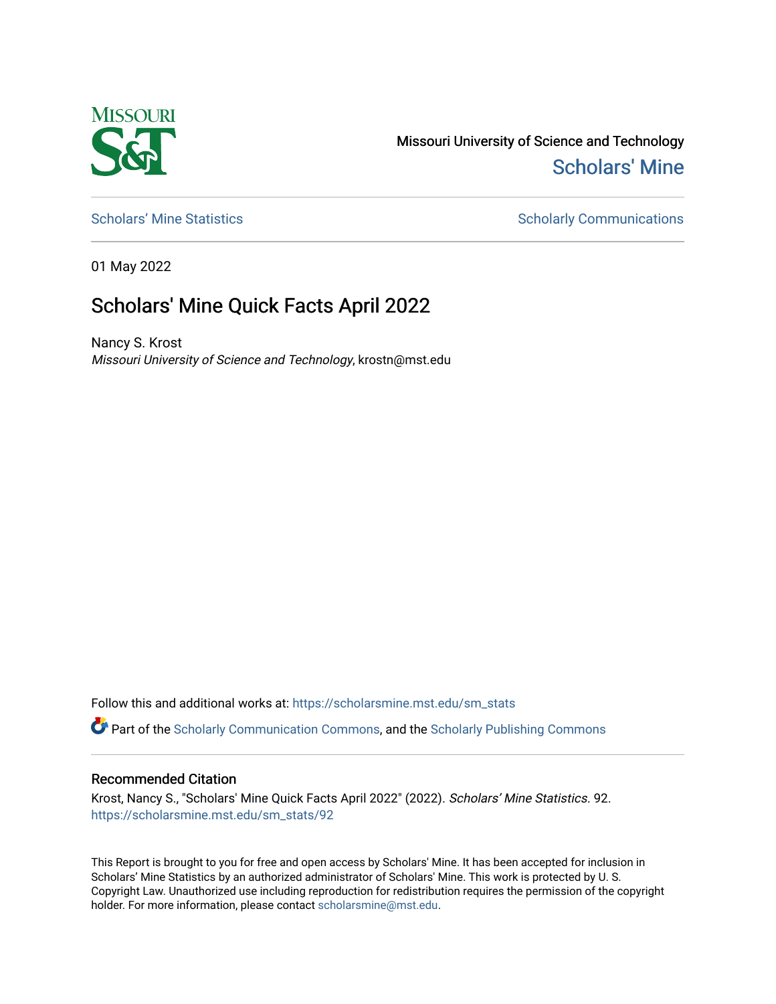

Missouri University of Science and Technology [Scholars' Mine](https://scholarsmine.mst.edu/) 

[Scholars' Mine Statistics](https://scholarsmine.mst.edu/sm_stats) Scholarly Communications

01 May 2022

## Scholars' Mine Quick Facts April 2022

Nancy S. Krost Missouri University of Science and Technology, krostn@mst.edu

Follow this and additional works at: [https://scholarsmine.mst.edu/sm\\_stats](https://scholarsmine.mst.edu/sm_stats?utm_source=scholarsmine.mst.edu%2Fsm_stats%2F92&utm_medium=PDF&utm_campaign=PDFCoverPages) 

Part of the [Scholarly Communication Commons,](http://network.bepress.com/hgg/discipline/1272?utm_source=scholarsmine.mst.edu%2Fsm_stats%2F92&utm_medium=PDF&utm_campaign=PDFCoverPages) and the [Scholarly Publishing Commons](http://network.bepress.com/hgg/discipline/1273?utm_source=scholarsmine.mst.edu%2Fsm_stats%2F92&utm_medium=PDF&utm_campaign=PDFCoverPages)

## Recommended Citation

Krost, Nancy S., "Scholars' Mine Quick Facts April 2022" (2022). Scholars' Mine Statistics. 92. [https://scholarsmine.mst.edu/sm\\_stats/92](https://scholarsmine.mst.edu/sm_stats/92?utm_source=scholarsmine.mst.edu%2Fsm_stats%2F92&utm_medium=PDF&utm_campaign=PDFCoverPages)

This Report is brought to you for free and open access by Scholars' Mine. It has been accepted for inclusion in Scholars' Mine Statistics by an authorized administrator of Scholars' Mine. This work is protected by U. S. Copyright Law. Unauthorized use including reproduction for redistribution requires the permission of the copyright holder. For more information, please contact [scholarsmine@mst.edu.](mailto:scholarsmine@mst.edu)